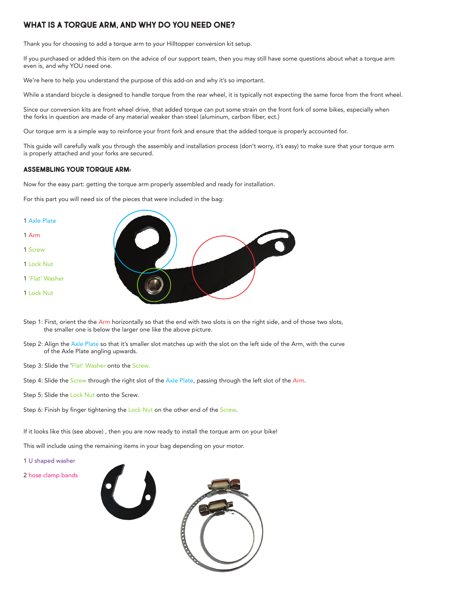# **WHAT IS A TORQUE ARM, AND WHY DO YOU NEED ONE?**

Thank you for choosing to add a torque arm to your Hilltopper conversion kit setup.

If you purchased or added this item on the advice of our support team, then you may still have some questions about what a torque arm even is, and why YOU need one.

We're here to help you understand the purpose of this add-on and why it's so important.

While a standard bicycle is designed to handle torque from the rear wheel, it is typically not expecting the same force from the front wheel.

Since our conversion kits are front wheel drive, that added torque can put some strain on the front fork of some bikes, especially when the forks in question are made of any material weaker than steel (aluminum, carbon fiber, ect.)

Our torque arm is a simple way to reinforce your front fork and ensure that the added torque is properly accounted for.

This guide will carefully walk you through the assembly and installation process (don't worry, it's easy) to make sure that your torque arm is properly attached and your forks are secured.

# **ASSEMBLING YOUR TORQUE ARM:**

Now for the easy part: getting the torque arm properly assembled and ready for installation.

For this part you will need six of the pieces that were included in the bag:



- Step 1: First, orient the the Arm horizontally so that the end with two slots is on the right side, and of those two slots, the smaller one is below the larger one like the above picture.
- Step 2: Align the Axle Plate so that it's smaller slot matches up with the slot on the left side of the Arm, with the curve of the Axle Plate angling upwards.
- Step 3: Slide the 'Flat' Washer onto the Screw.
- Step 4: Slide the Screw through the right slot of the Axle Plate, passing through the left slot of the Arm.
- Step 5: Slide the Lock Nut onto the Screw.
- Step 6: Finish by finger tightening the Lock Nut on the other end of the Screw.

If it looks like this (see above) , then you are now ready to install the torque arm on your bike!

This will include using the remaining items in your bag depending on your motor.

- 1 U shaped washer
- 2 hose clamp bands